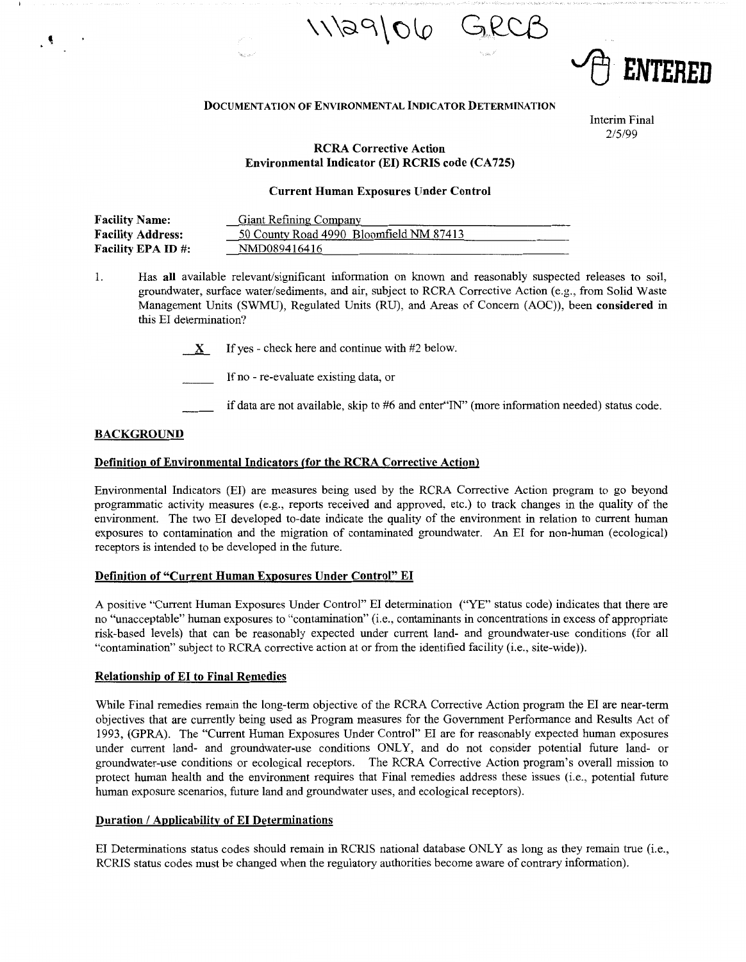



#### **DOCUMENTATION OF ENVIRONMENTAL INDICATOR DETERMINATION**

Interim Final 2/5/99

# **RCRA Corrective Action**  Environmental Indicator (EI) RCRIS code (CA725)

### **Current Human Exposures Under Control**

| <b>Facility Name:</b>     | <b>Giant Refining Company</b>           |
|---------------------------|-----------------------------------------|
| <b>Facility Address:</b>  | 50 County Road 4990 Bloomfield NM 87413 |
| <b>Facility EPA ID #:</b> | NMD089416416                            |

1. Has **all** available relevant/significant information on known and reasonably suspected releases to soil, groundwater, surface water/sediments, and air, subject to RCRA Corrective Action (e.g., from Solid Waste Management Units (SWMU), Regulated Units (RU), and Areas of Concern (AOC)), been **considered** in this EI determination?

- If no re-evaluate existing data, or
	- if data are not available, skip to #6 and enter"IN" (more information needed) status code.

# **BACKGROUND**

 $\mathcal{R}$ 

### **Definition of Environmental Indicators (for the RCRA Corrective Action)**

Environmental Indicators (EI) are measures being used by the RCRA Corrective Action program to go beyond programmatic activity measures (e.g., reports received and approved, etc.) to track changes in the quality of the environment. The two El developed to-date indicate the quality of the environment in relation to current human exposures to contamination and the migration of contaminated groundwater. An EI for non-human (ecological) receptors is intended to be developed in the future.

## **Definition of "Current Human Exposures Under Control"** EI

A positive "Current Human Exposures Under Control" EI determination ("YE" status code) indicates that there are no "unacceptable" human exposures to "contamination" (i.e., contaminants in concentrations in excess of appropriate risk-based levels) that can be reasonably expected under current land- and groundwater-use conditions (for all "contamination" subject to RCRA corrective action at or from the identified facility (i.e., site-wide)).

### **Relationship of EI to Final Remedies**

While Final remedies remain the long-term objective of the RCRA Corrective Action program the EI are near-term objectives that are currently being used as Program measures for the Government Performance and Results Act of 1993, (GPRA). The "Current Human Exposures Under Control" EI are for reasonably expected human exposures under current land- and groundwater-use conditions ONLY, and do not consider potential future land- or groundwater-use conditions or ecological receptors. The RCRA Corrective Action program's overall mission to protect human health and the environment requires that Final remedies address these issues (i.e., potential future human exposure scenarios, future land and groundwater uses, and ecological receptors).

## **Duration** / **Applicability of EI Determinations**

EI Determinations status codes should remain in RCRIS national database ONLY as long as they remain true (i.e., RCRIS status codes must be changed when the regulatory authorities become aware of contrary information).

 $X$  If yes - check here and continue with #2 below.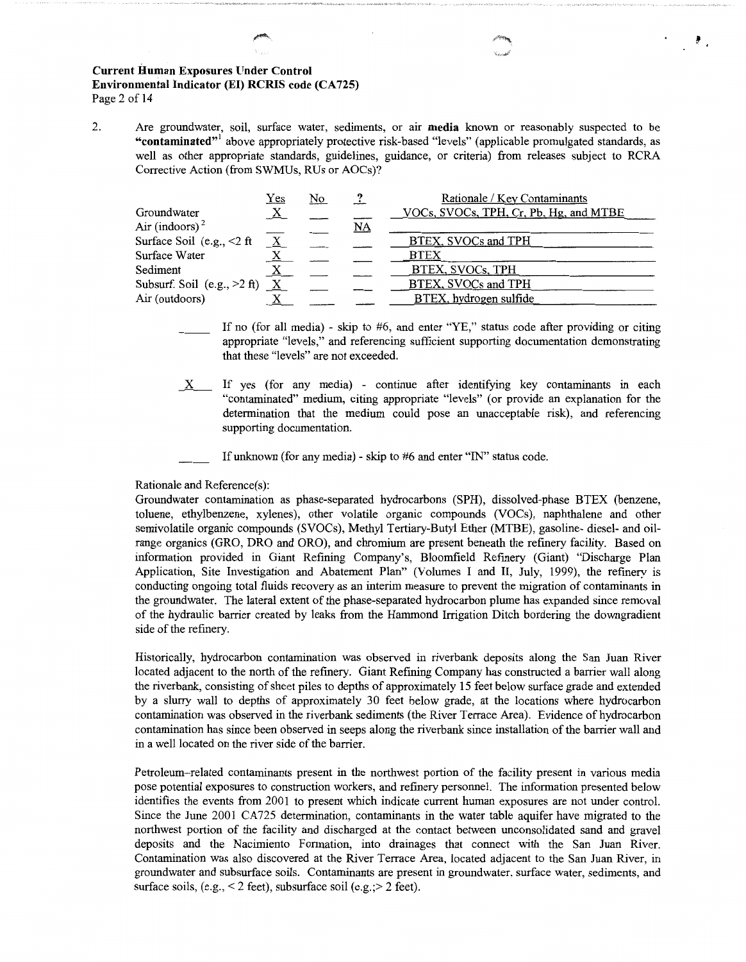## **Current Human Exposures Under Control**  Environmental Indicator (EI) RCRIS code (CA725) Page 2 of 14

2. Are groundwater, soil, surface water, sediments, or air **media** known or reasonably suspected to be **"contaminated"'** above appropriately protective risk-based "levels" (applicable promulgated standards, as well as other appropriate standards, guidelines, guidance, or criteria) from releases subject to RCRA Corrective Action (from SWMUs, RUs or AOCs)?

|                                   | <u>Yes</u>      | <u>No</u> |      | Rationale / Key Contaminants           |
|-----------------------------------|-----------------|-----------|------|----------------------------------------|
| Groundwater                       | $\underline{X}$ |           |      | VOCs, SVOCs, TPH, Cr, Pb, Hg, and MTBE |
| Air (indoors) <sup>2</sup>        |                 |           | $NA$ |                                        |
| Surface Soil (e.g., $\leq 2$ ft   | $\underline{X}$ |           |      | BTEX, SVOCs and TPH                    |
| Surface Water                     |                 |           |      | <b>BTEX</b>                            |
| Sediment                          | $\mathbf{X}$    |           |      | BTEX, SVOCs, TPH                       |
| Subsurf. Soil (e.g., $>2$ ft) $X$ |                 |           |      | <b>BTEX, SVOCs and TPH</b>             |
| Air (outdoors)                    |                 |           |      | BTEX, hydrogen sulfide                 |

If no (for all media) - skip to  $#6$ , and enter "YE," status code after providing or citing appropriate "levels," and referencing sufficient supporting documentation demonstrating that these "levels" are not exceeded.

\_x\_ If yes (for any media) - continue after identifying key contaminants in each "contaminated" medium, citing appropriate "levels" (or provide an explanation for the determination that the medium could pose an unacceptable risk), and referencing supporting documentation.

If unknown (for any media) - skip to #6 and enter "IN" status code.

### Rationale and Reference(s):

Groundwater contamination as phase-separated hydrocarbons (SPH), dissolved-phase BTEX (benzene, toluene, ethylbenzene, xylenes), other volatile organic compounds (VOCs), naphthalene and other semivolatile organic compounds (SVOCs), Methyl Tertiary-Butyl Ether (MTBE), gasoline- diesel- and oilrange organics (GRO, DRO and ORO), and chromium are present beneath the refinery facility. Based on information provided in Giant Refining Company's, Bloomfield Refinery (Giant) "Discharge Plan Application, Site Investigation and Abatement Plan" (Volumes I and II, July, 1999), the refinery is conducting ongoing total fluids recovery as an interim measure to prevent the migration of contaminants in the groundwater. The lateral extent of the phase-separated hydrocarbon plume has expanded since removal of the hydraulic barrier created by leaks from the Hammond Irrigation Ditch bordering the downgradient side of the refinery.

Historically, hydrocarbon contamination was observed in riverbank deposits along the San Juan River located adjacent to the north of the refinery. Giant Refining Company has constructed a barrier wall along the riverbank, consisting of sheet piles to depths of approximately 15 feet below surface grade and extended by a slurry wall to depths of approximately 30 feet below grade, at the locations where hydrocarbon contamination was observed in the riverbank sediments (the River Terrace Area). Evidence of hydrocarbon contamination has since been observed in seeps along the riverbank since installation of the barrier wall and in a well located on the river side of the barrier.

Petroleum-related contaminants present in the northwest portion of the facility present in various media pose potential exposures to construction workers, and refinery personnel. The information presented below identifies the events from 2001 to present which indicate current human exposures are not under control. Since the June 2001 CA725 determination, contaminants in the water table aquifer have migrated to the northwest portion of the facility and discharged at the contact between unconsolidated sand and gravel deposits and the Nacimiento Formation, into drainages that connect with the San Juan River. Contamination was also discovered at the River Terrace Area, located adjacent to the San Juan River, in groundwater and subsurface soils. Contaminants are present in groundwater, surface water, sediments, and surface soils,  $(e.g., < 2 \text{ feet})$ , subsurface soil  $(e.g., > 2 \text{ feet})$ .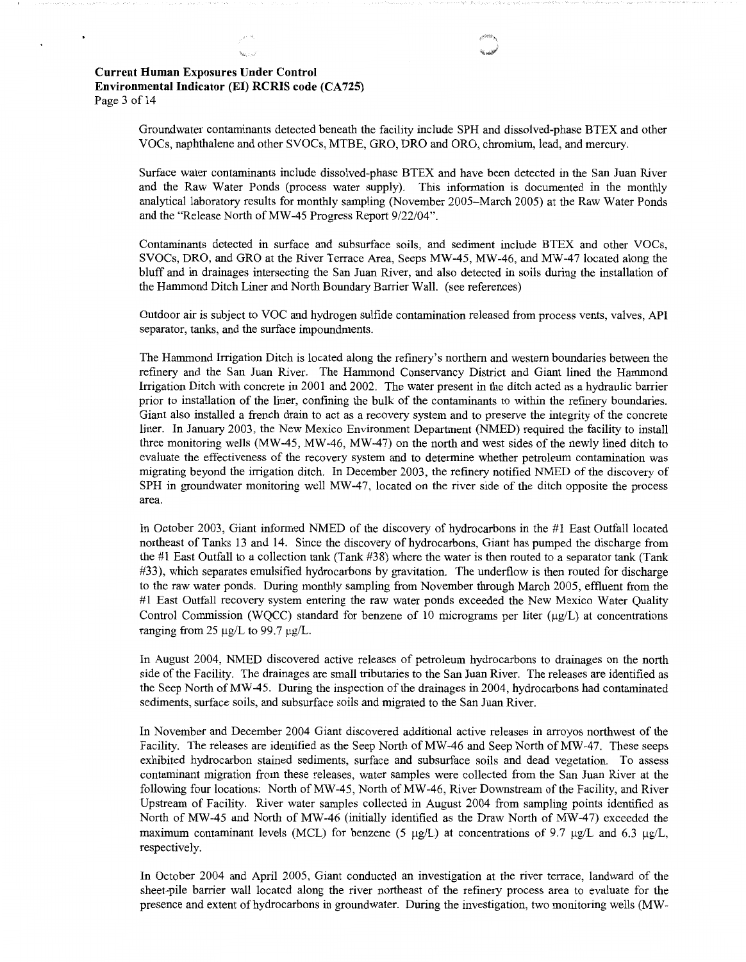Groundwater contaminants detected beneath the facility include SPH and dissolved-phase BTEX and other VOCs, naphthalene and other SVOCs, MTBE, GRO, DRO and ORO, chromium, lead, and mercury.

Surface water contaminants include dissolved-phase BTEX and have been detected in the San Juan River and the Raw Water Ponds (process water supply). This information is documented in the monthly analytical laboratory results for monthly sampling (November 2005-March 2005) at the Raw Water Ponds and the "Release North of MW-45 Progress Report 9/22/04".

Contaminants detected in surface and subsurface soils, and sediment include BTEX and other VOCs, SVOCs, DRO, and GRO at the River Terrace Area, Seeps MW-45, MW-46, and MW--47 located along the bluff and in drainages intersecting the San Juan River, and also detected in soils during the installation of the Hammond Ditch Liner and North Boundary Barrier Wall. (see references)

Outdoor air is subject to VOC and hydrogen sulfide contamination released from process vents, valves, API separator, tanks, and the surface impoundments.

The Hammond Irrigation Ditch is located along the refinery's northern and western boundaries between the refinery and the San Juan River. The Hammond Conservancy District and Giant lined the Hammond Irrigation Ditch with concrete in 2001 and 2002. The water present in the ditch acted as a hydraulic barrier prior to installation of the liner, confining the bulk of the contaminants to within the refinery boundaries. Giant also installed a french drain to act as a recovery system and to preserve the integrity of the concrete liner. In January 2003, the New Mexico Environment Department (NMED) required the facility to install three monitoring wells (MW-45, MW-46, MW-47) on the north and west sides of the newly lined ditch to evaluate the effectiveness of the recovery system and to determine whether petroleum contamination was migrating beyond the irrigation ditch. In December 2003, the refinery notified NMED of the discovery of SPH in groundwater monitoring well MW-47, located on the river side of the ditch opposite the process area.

In October 2003, Giant informed NMED of the discovery of hydrocarbons in the #1 East Outfall located northeast of Tanks 13 and 14. Since the discovery of hydrocarbons, Giant has pumped the discharge from the #1 East Outfall to a collection tank (Tank #38) where the water is then routed to a separator tank (Tank #33), which separates emulsified hydrocarbons by gravitation. The underflow is then routed for discharge to the raw water ponds. During monthly sampling from November through March 2005, effluent from the #1 East Outfall recovery system entering the raw water ponds exceeded the New Mexico Water Quality Control Commission (WQCC) standard for benzene of 10 micrograms per liter  $(\mu g/L)$  at concentrations ranging from 25  $\mu$ g/L to 99.7  $\mu$ g/L.

In August 2004, NMED discovered active releases of petroleum hydrocarbons to drainages on the north side of the Facility. The drainages are small tributaries to the San Juan River. The releases are identified as the Seep North ofMW-45. During the inspection of the drainages in 2004, hydrocarbons had contaminated sediments, surface soils, and subsurface soils and migrated to the San Juan River.

In November and December 2004 Giant discovered additional active releases in arroyos northwest of the Facility. The releases are identified as the Seep North of MW-46 and Seep North of MW-47. These seeps exhibited hydrocarbon stained sediments, surface and subsurface soils and dead vegetation. To assess contaminant migration from these releases, water samples were collected from the San Juan River at the following four locations: North of MW-45, North of MW-46, River Downstream of the Facility, and River Upstream of Facility. River water samples collected in August 2004 from sampling points identified as North of MW-45 and North of MW-46 (initially identified as the Draw North of MW-47) exceeded the maximum contaminant levels (MCL) for benzene (5  $\mu$ g/L) at concentrations of 9.7  $\mu$ g/L and 6.3  $\mu$ g/L, respectively.

In October 2004 and April 2005, Giant conducted an investigation at the river terrace, landward of the sheet-pile barrier wall located along the river northeast of the refinery process area to evaluate for the presence and extent of hydrocarbons in groundwater. During the investigation, two monitoring wells (MW-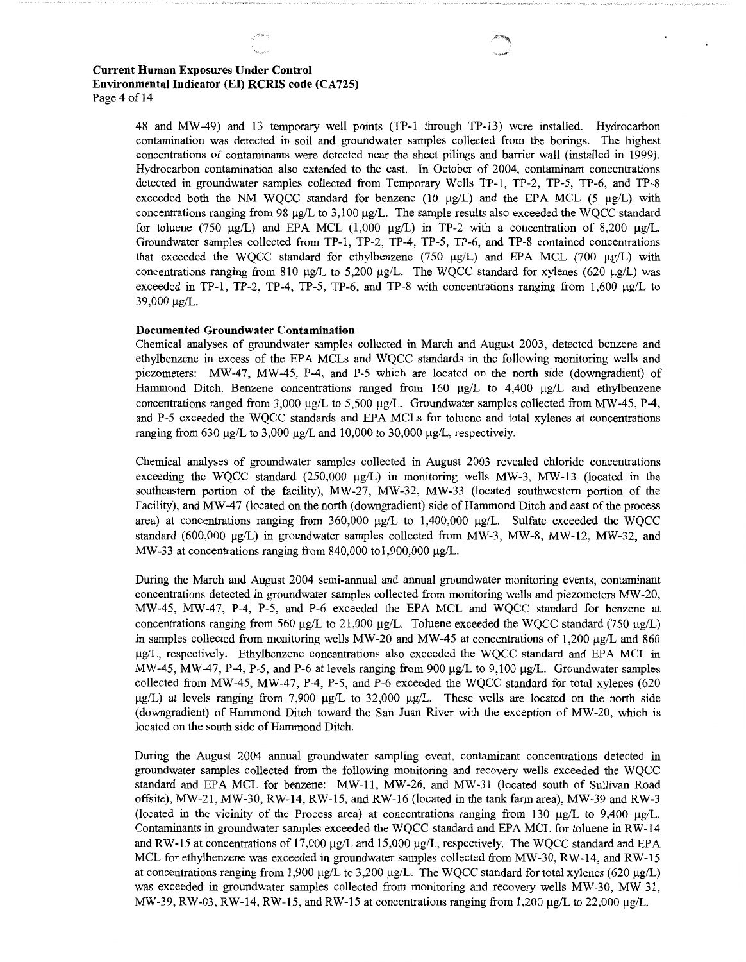48 and MW-49) and 13 temporary well points (TP-1 through TP-13) were installed. Hydrocarbon contamination was detected in soil and groundwater samples collected from the borings. The highest concentrations of contaminants were detected near the sheet pilings and barrier wall (installed in 1999). Hydrocarbon contamination also extended to the east. In October of 2004, contaminant concentrations detected in groundwater samples collected from Temporary Wells TP-1, TP-2, TP-5, TP-6, and TP-8 exceeded both the NM WOCC standard for benzene (10  $\mu$ g/L) and the EPA MCL (5  $\mu$ g/L) with concentrations ranging from 98 µg/L to 3,100 µg/L. The sample results also exceeded the WQCC standard for toluene (750  $\mu$ g/L) and EPA MCL (1,000  $\mu$ g/L) in TP-2 with a concentration of 8,200  $\mu$ g/L. Groundwater samples collected from TP-1, TP-2, TP-4, TP-5, TP-6, and TP-8 contained concentrations that exceeded the WOCC standard for ethylbenzene (750  $\mu$ g/L) and EPA MCL (700  $\mu$ g/L) with concentrations ranging from 810  $\mu$ g/L to 5,200  $\mu$ g/L. The WQCC standard for xylenes (620  $\mu$ g/L) was exceeded in TP-1, TP-2, TP-4, TP-5, TP-6, and TP-8 with concentrations ranging from  $1,600 \mu g/L$  to 39,000 µg/L.

### **Documented Groundwater Contamination**

Chemical analyses of groundwater samples collected in March and August 2003, detected benzene and ethylbenzene in excess of the EPA MCLs and WQCC standards in the following monitoring wells and piezometers: MW-47, MW-45, P-4, and P-5 which are located on the north side (downgradient) of Hammond Ditch. Benzene concentrations ranged from 160 µg/L to 4,400 µg/L and ethylbenzene concentrations ranged from 3,000  $\mu$ g/L to 5,500  $\mu$ g/L. Groundwater samples collected from MW-45, P-4, and P-5 exceeded the WQCC standards and EPA MCLs for toluene and total xylenes at concentrations ranging from 630 µg/L to 3,000 µg/L and 10,000 to 30,000 µg/L, respectively.

Chemical analyses of groundwater samples collected in August 2003 revealed chloride concentrations exceeding the WQCC standard (250,000  $\mu$ g/L) in monitoring wells MW-3, MW-13 (located in the southeastern portion of the facility), MW-27, MW-32, MW-33 (located southwestern portion of the Facility), and MW-47 (located on the north (downgradient) side of Hammond Ditch and east of the process area) at concentrations ranging from  $360,000 \mu g/L$  to  $1,400,000 \mu g/L$ . Sulfate exceeded the WQCC standard (600,000 µg/L) in groundwater samples collected from MW-3, MW-8, MW-12, MW-32, and MW-33 at concentrations ranging from 840,000 to 1,900,000  $\mu$ g/L.

During the March and August 2004 semi-annual and annual groundwater monitoring events, contaminant concentrations detected in groundwater samples collected from monitoring wells and piezometers MW-20, MW-45, MW-47, P-4, P-5, and P-6 exceeded the EPA MCL and WQCC standard for benzene at concentrations ranging from 560  $\mu$ g/L to 21,000  $\mu$ g/L. Toluene exceeded the WQCC standard (750  $\mu$ g/L) in samples collected from monitoring wells MW-20 and MW-45 at concentrations of 1,200  $\mu$ g/L and 860 µg/L, respectively. Ethylbenzene concentrations also exceeded the WQCC standard and EPA MCL in MW-45, MW-47, P-4, P-5, and P-6 at levels ranging from 900  $\mu$ g/L to 9,100  $\mu$ g/L. Groundwater samples collected from MW-45, MW-47, P-4, P-5, and P-6 exceeded the WQCC standard for total xylenes (620  $\mu$ g/L) at levels ranging from 7,900  $\mu$ g/L to 32,000  $\mu$ g/L. These wells are located on the north side (downgradient) of Hammond Ditch toward the San Juan River with the exception of MW-20, which is located on the south side of Hammond Ditch.

During the August 2004 annual groundwater sampling event, contaminant concentrations detected in groundwater samples collected from the following monitoring and recovery wells exceeded the WQCC standard and EPA MCL for benzene: MW-11, MW-26, and MW-31 (located south of Sullivan Road offsite), MW-21, MW-30, RW-14, RW-15, and RW-16 (located in the tank farm area), MW-39 and RW-3 (located in the vicinity of the Process area) at concentrations ranging from 130  $\mu$ g/L to 9,400  $\mu$ g/L. Contaminants in groundwater samples exceeded the WQCC standard and EPA MCL for toluene in RW-14 and RW-15 at concentrations of 17,000 µg/L and 15,000 µg/L, respectively. The WQCC standard and EPA MCL for ethylbenzene was exceeded in groundwater samples collected from MW-30, RW-14, and RW-15 at concentrations ranging from 1,900 µg/L to 3,200 µg/L. The WQCC standard for total xylenes (620 µg/L) was exceeded in groundwater samples collected from monitoring and recovery wells MW-30, MW-31, MW-39, RW-03, RW-14, RW-15, and RW-15 at concentrations ranging from 1,200  $\mu$ g/L to 22,000  $\mu$ g/L.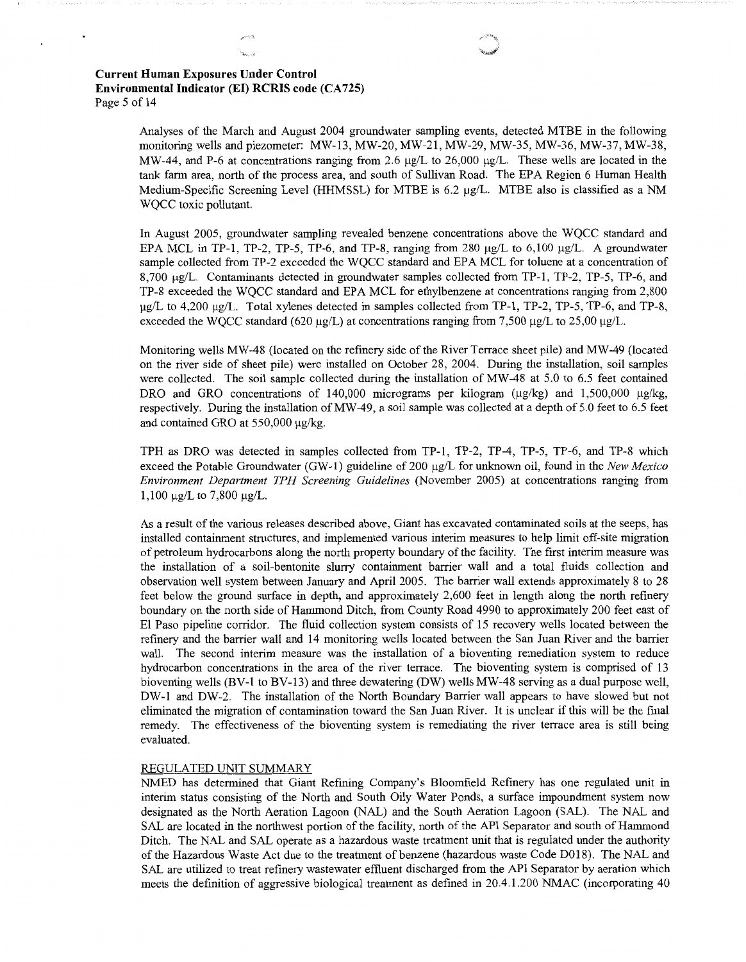# **Current Human Exposures Under Control Environmental Indicator (EI) RCRIS code (CA725)** Page 5 of 14

Analyses of the March and August 2004 groundwater sampling events, detected MTBE in the following monitoring wells and piezometer: MW-13, MW-20, MW-21, MW-29, MW-35, MW-36, MW-37, MW-38, MW-44, and P-6 at concentrations ranging from 2.6  $\mu$ g/L to 26,000  $\mu$ g/L. These wells are located in the tank farm area, north of the process area, and south of Sullivan Road. The EPA Region 6 Human Health Medium-Specific Screening Level (HHMSSL) for MTBE is 6.2 µg/L. MTBE also is classified as a NM WQCC toxic pollutant.

In August 2005, groundwater sampling revealed benzene concentrations above the WQCC standard and EPA MCL in TP-1, TP-2, TP-5, TP-6, and TP-8, ranging from 280 µg/L to 6,100 µg/L. A groundwater sample collected from TP-2 exceeded the WQCC standard and EPA MCL for toluene at a concentration of 8,700 µg/L. Contaminants detected in groundwater samples collected from TP-1, TP-2, TP-5, TP-6, and TP-8 exceeded the WQCC standard and EPA MCL for ethylbenzene at concentrations ranging from 2,800 µg/L to 4,200 µg/L. Total xylenes detected in samples collected from TP-1, TP-2, TP-5, TP-6, and TP-8, exceeded the WQCC standard (620 µg/L) at concentrations ranging from 7,500 µg/L to 25,00 µg/L.

Monitoring wells MW-48 (located on the refinery side of the River Terrace sheet pile) and MW-49 (located on the river side of sheet pile) were installed on October 28, 2004. During the installation, soil samples were collected. The soil sample collected during the installation of MW-48 at 5.0 to 6.5 feet contained DRO and GRO concentrations of 140,000 micrograms per kilogram ( $\mu$ g/kg) and 1,500,000  $\mu$ g/kg, respectively. During the installation ofMW-49, a soil sample was collected at a depth of 5.0 feet to 6.5 feet and contained GRO at 550,000 µg/kg.

TPH as DRO was detected in samples collected from TP-1, TP-2, TP-4, TP-5, TP-6, and TP-8 which exceed the Potable Groundwater (GW-1) guideline of 200 µg/L for unknown oil, found in the *New Mexico Environment Department TPH Screening Guidelines* (November 2005) at concentrations ranging from 1,100 µg/L to 7,800 µg/L.

As a result of the various releases described above, Giant has excavated contaminated soils at the seeps, has installed containment structures, and implemented various interim measures to help limit off-site migration of petroleum hydrocarbons along the north property boundary of the facility. The first interim measure was the installation of a soil-bentonite slurry containment barrier wall and a total fluids collection and observation well system between January and April 2005. The barrier wall extends approximately 8 to 28 feet below the ground surface in depth, and approximately 2,600 feet in length along the north refinery boundary on the north side of Hammond Ditch, from County Road 4990 to approximately 200 feet east of El Paso pipeline corridor. The fluid collection system consists of 15 recovery wells located between the refinery and the barrier wall and 14 monitoring wells located between the San Juan River and the barrier wall. The second interim measure was the installation of a bioventing remediation system to reduce hydrocarbon concentrations in the area of the river terrace. The bioventing system is comprised of 13 bioventing wells (BV-1 to BV-13) and three dewatering (DW) wells MW-48 serving as a dual purpose well, DW-1 and DW-2. The installation of the North Boundary Barrier wall appears to have slowed but not eliminated the migration of contamination toward the San Juan River. It is unclear if this will be the final remedy. The effectiveness of the bioventing system is remediating the river terrace area is still being evaluated.

### REGULATED UNIT SUMMARY

NMED has determined that Giant Refining Company's Bloomfield Refinery has one regulated unit in interim status consisting of the North and South Oily Water Ponds, a surface impoundment system now designated as the North Aeration Lagoon (NAL) and the South Aeration Lagoon (SAL). The NAL and SAL are located in the northwest portion of the facility, north of the API Separator and south of Hammond Ditch. The NAL and SAL operate as a hazardous waste treatment unit that is regulated under the authority of the Hazardous Waste Act due to the treatment of benzene (hazardous waste Code D018). The NAL and SAL are utilized to treat refinery wastewater effluent discharged from the API Separator by aeration which meets the definition of aggressive biological treatment as defined in 20.4.1.200 NMAC (incorporating 40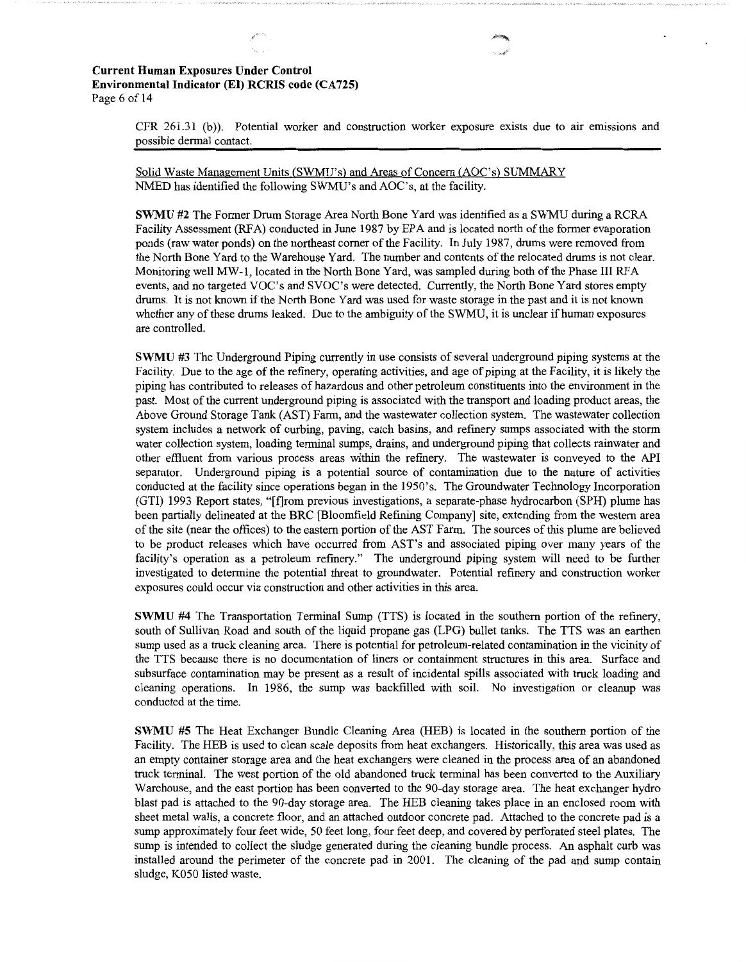## **Current Human Exposures Under Control Environmental Indicator (El) RCRIS code (CA 725)**  Page 6 of 14

CFR 261.31 (b)). Potential worker and construction worker exposure exists due to air emissions and possible dermal contact.

Solid Waste Management Units (SWMU's) and Areas of Concern (AOC's) SUMMARY NMED has identified the following SWMU's and AOC's, at the facility.

**SWMU #2** The Former Drum Storage Area North Bone Yard was identified as a SWMU during a RCRA Facility Assessment (RFA) conducted in June 1987 by EPA and is located north of the former evaporation ponds (raw water ponds) on the northeast corner of the Facility. In July 1987, drums were removed from the North Bone Yard to the Warehouse Yard. The number and contents of the relocated drums is not clear. Monitoring well MW-I, located in the North Bone Yard, was sampled during both of the Phase III RFA events, and no targeted VOC's and SVOC's were detected. Currently, the North Bone Yard stores empty drums. It is not known if the North Bone Yard was used for waste storage in the past and it is not known whether any of these drums leaked. Due to the ambiguity of the SWMU, it is unclear if human exposures are controlled.

**SWMU #3** The Underground Piping currently in use consists of several underground piping systems at the Facility. Due to the age of the refinery, operating activities, and age of piping at the Facility, it is likely the piping has contributed to releases of hazardous and other petroleum constituents into the environment in the past. Most of the current underground piping is associated with the transport and loading product areas, the Above Ground Storage Tank (AST) Farm, and the wastewater collection system. The wastewater collection system includes a network of curbing, paving, catch basins, and refinery sumps associated with the storm water collection system, loading terminal sumps, drains, and underground piping that collects rainwater and other effluent from various process areas within the refinery. The wastewater is conveyed to the API separator. Underground piping is a potential source of contamination due to the nature of activities conducted at the facility since operations began in the 1950's. The Groundwater Technology Incorporation (GTI) 1993 Report states, "[f]rom previous investigations, a separate-phase hydrocarbon (SPH) plume has been partially delineated at the BRC [Bloomfield Refining Company] site, extending from the western area of the site (near the offices) to the eastern portion of the AST Farm. The sources of this plume are believed to be product releases which have occurred from AST's and associated piping over many years of the facility's operation as a petroleum refinery." The underground piping system will need to be further investigated to determine the potential threat to groundwater. Potential refinery and construction worker exposures could occur via construction and other activities in this area.

**SWMU #4** The Transportation Terminal Sump (TTS) is located in the southern portion of the refinery, south of Sullivan Road and south of the liquid propane gas (LPG) bullet tanks. The TTS was an earthen sump used as a truck cleaning area. There is potential for petroleum-related contamination in the vicinity of the TTS because there is no documentation of liners or containment structures in this area. Surface and subsurface contamination may be present as a result of incidental spills associated with truck loading and cleaning operations. In 1986, the sump was backfilled with soil. No investigation or cleanup was conducted at the time.

**SWMU #5** The Heat Exchanger Bundle Cleaning Area (HEB) is located in the southern portion of the Facility. The HEB is used to clean scale deposits from heat exchangers. Historically, this area was used as an empty container storage area and the heat exchangers were cleaned in the process area of an abandoned truck terminal. The west portion of the old abandoned truck terminal has been converted to the Auxiliary Warehouse, and the east portion has been converted to the 90-day storage area. The heat exchanger hydro blast pad is attached to the 90-day storage area. The HEB cleaning takes place in an enclosed room with sheet metal walls, a concrete floor, and an attached outdoor concrete pad. Attached to the concrete pad is a sump approximately four feet wide, 50 feet long, four feet deep, and covered by perforated steel plates. The sump is intended to collect the sludge generated during the cleaning bundle process. An asphalt curb was installed around the perimeter of the concrete pad in 2001. The cleaning of the pad and sump contain sludge, K050 listed waste.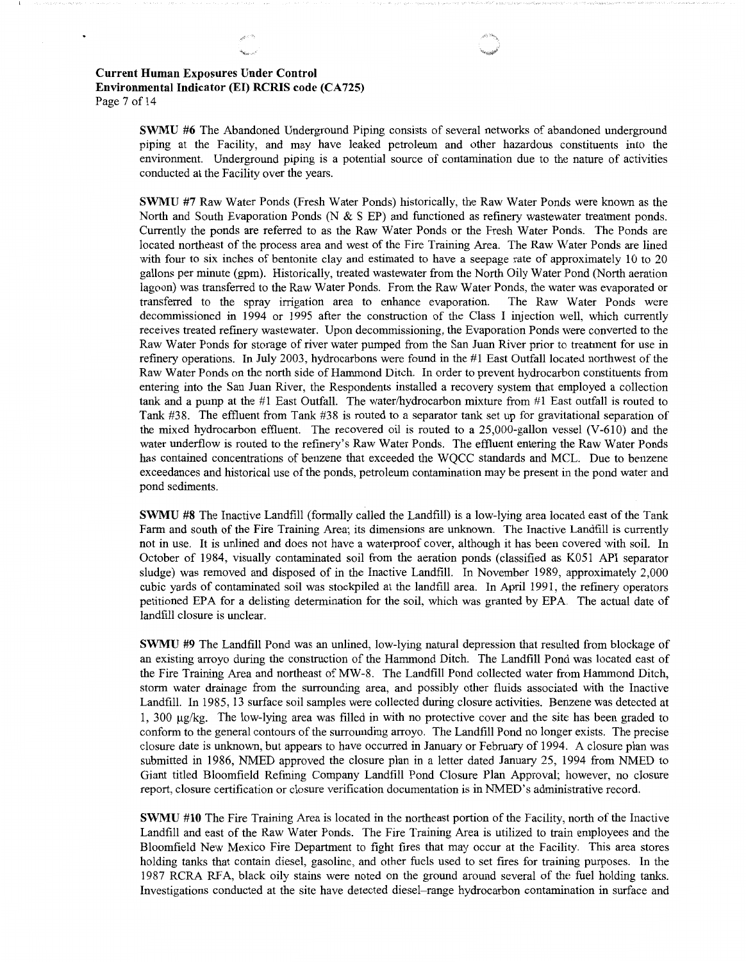# **Current Human Exposures Under Control Environmental Indicator (El) RCRIS code (CA 725)**  Page 7 of 14

**SWMU #6** The Abandoned Underground Piping consists of several networks of abandoned underground piping at the Facility, and may have leaked petroleum and other hazardous constituents into the environment. Underground piping is a potential source of contamination due to the nature of activities conducted at the Facility over the years.

**SWMU #7** Raw Water Ponds (Fresh Water Ponds) historically, the Raw Water Ponds were known as the North and South Evaporation Ponds (N & S EP) and functioned as refinery wastewater treatment ponds. Currently the ponds are referred to as the Raw Water Ponds or the Fresh Water Ponds. The Ponds are located northeast of the process area and west of the Fire Training Area. The Raw Water Ponds are lined with four to six inches of bentonite clay and estimated to have a seepage rate of approximately 10 to 20 gallons per minute (gpm). Historically, treated wastewater from the North Oily Water Pond (North aeration lagoon) was transferred to the Raw Water Ponds. From the Raw Water Ponds, the water was evaporated or transferred to the spray irrigation area to enhance evaporation. The Raw Water Ponds were decommissioned in 1994 or 1995 after the construction of the Class I injection well, which currently receives treated refinery wastewater. Upon decommissioning, the Evaporation Ponds were converted to the Raw Water Ponds for storage of river water pumped from the San Juan River prior to treatment for use in refinery operations. In July 2003, hydrocarbons were found in the #1 East Outfall located northwest of the Raw Water Ponds on the north side of Hammond Ditch. In order to prevent hydrocarbon constituents from entering into the San Juan River, the Respondents installed a recovery system that employed a collection tank and a pump at the #1 East Outfall. The water/hydrocarbon mixture from #1 East outfall is routed to Tank #38. The effluent from Tank #38 is routed to a separator tank set up for gravitational separation of the mixed hydrocarbon effluent. The recovered oil is routed to a 25,000-gallon vessel (V-610) and the water underflow is routed to the refmery's Raw Water Ponds. The effluent entering the Raw Water Ponds has contained concentrations of benzene that exceeded the WQCC standards and MCL. Due to benzene exceedances and historical use of the ponds, petroleum contamination may be present in the pond water and pond sediments.

**SWMU #8** The Inactive Landfill (formally called the Landfill) is a low-lying area located east of the Tank Farm and south of the Fire Training Area; its dimensions are unknown. The Inactive Landfill is currently not in use. It is unlined and does not have a waterproof cover, although it has been covered with soil. In October of 1984, visually contaminated soil from the aeration ponds (classified as K051 API separator sludge) was removed and disposed of in the Inactive Landfill. In November 1989, approximately 2,000 cubic yards of contaminated soil was stockpiled at the landfill area. In April 1991, the refinery operators petitioned EPA for a delisting determination for the soil, which was granted by EPA The actual date of landfill closure is unclear.

**SWMU #9** The Landfill Pond was an unlined, low-lying natural depression that resulted from blockage of an existing arroyo during the construction of the Hammond Ditch. The Landfill Pond was located east of the Fire Training Area and northeast ofMW-8. The Landfill Pond collected water from Hammond Ditch, storm water drainage from the surrounding area, and possibly other fluids associated with the Inactive Landfill. In 1985, 13 surface soil samples were collected during closure activities. Benzene was detected at 1, 300 µg/kg. The low-lying area was filled in with no protective cover and the site has been graded to conform to the general contours of the surrounding arroyo. The Landfill Pond no longer exists. The precise closure date is unknown, but appears to have occurred in January or February of 1994. A closure plan was submitted in 1986, NMED approved the closure plan in a letter dated January 25, 1994 from NMED to Giant titled Bloomfield Refming Company Landfill Pond Closure Plan Approval; however, no closure report, closure certification or closure verification documentation is in NMED's administrative record.

**SWMU #10** The Fire Training Area is located in the northeast portion of the Facility, north of the Inactive Landfill and east of the Raw Water Ponds. The Fire Training Area is utilized to train employees and the Bloomfield New Mexico Fire Department to fight fires that may occur at the Facility. This area stores holding tanks that contain diesel, gasoline, and other fuels used to set fires for training purposes. In the 1987 RCRA RFA, black oily stains were noted on the ground around several of the fuel holding tanks. Investigations conducted at the site have detected diesel-range hydrocarbon contamination in surface and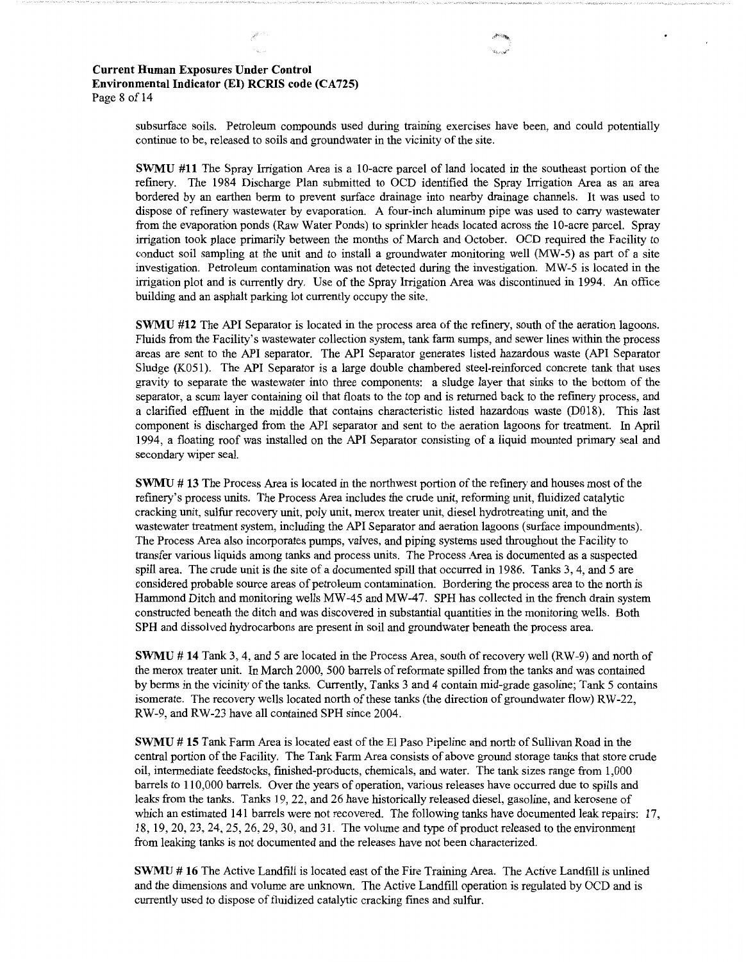## **Current Human Exposures Under Control Environmental Indicator** (EI) **RCRIS code (CA 725)**  Page 8 of 14

subsurface soils. Petroleum compounds used during training exercises have been, and could potentially continue to be, released to soils and groundwater in the vicinity of the site.

**SWMU #11** The Spray Irrigation Area is a 10-acre parcel of land located in the southeast portion of the refinery. The 1984 Discharge Plan submitted to OCD identified the Spray Irrigation Area as an area bordered by an earthen berm to prevent surface drainage into nearby drainage channels. It was used to dispose of refinery wastewater by evaporation. A four-inch aluminum pipe was used to carry wastewater from the evaporation ponds (Raw Water Ponds) to sprinkler heads located across the 10-acre parcel. Spray irrigation took place primarily between the months of March and October. OCD required the Facility to conduct soil sampling at the unit and to install a groundwater monitoring well (MW-5) as part of a site investigation. Petroleum contamination was not detected during the investigation. MW-5 is located in the irrigation plot and is currently dry. Use of the Spray Irrigation Area was discontinued in 1994. An office building and an asphalt parking lot currently occupy the site.

**SWMU #12** The API Separator is located in the process area of the refinery, south of the aeration lagoons. Fluids from the Facility's wastewater collection system, tank farm sumps, and sewer lines within the process areas are sent to the API separator. The API Separator generates listed hazardous waste (API Separator Sludge (K051). The API Separator is a large double chambered steel-reinforced concrete tank that uses gravity to separate the wastewater into three components: a sludge layer that sinks to the bottom of the separator, a scum layer containing oil that floats to the top and is returned back to the refinery process, and a clarified effluent in the middle that contains characteristic listed hazardous waste (D018). This last component is discharged from the API separator and sent to the aeration lagoons for treatment. In April 1994, a floating roof was installed on the API Separator consisting of a liquid mounted primary seal and secondary wiper seal.

**SWMU** # **13** The Process Area is located in the northwest portion of the refinery and houses most of the refinery's process units. The Process Area includes the crude unit, reforming unit, fluidized catalytic cracking unit, sulfur recovery unit, poly unit, merox treater unit, diesel hydrotreating unit, and the wastewater treatment system, including the API Separator and aeration lagoons (surface impoundments). The Process Area also incorporates pumps, valves, and piping systems used throughout the Facility to transfer various liquids among tanks and process units. The Process Area is documented as a suspected spill area. The crude unit is the site of a documented spill that occurred in 1986. Tanks 3, 4, and 5 are considered probable source areas of petroleum contamination. Bordering the process area to the north is Hammond Ditch and monitoring wells MW-45 and MW-47. SPH has collected in the french drain system constructed beneath the ditch and was discovered in substantial quantities in the monitoring wells. Both SPH and dissolved hydrocarbons are present in soil and groundwater beneath the process area.

**SWMU** # 14 Tank 3, 4, and 5 are located in the Process Area, south of recovery well (RW-9) and north of the merox treater unit. In March 2000, 500 barrels of reformate spilled from the tanks and was contained by berms in the vicinity of the tanks. Currently, Tanks 3 and 4 contain mid-grade gasoline; Tank 5 contains isomerate. The recovery wells located north of these tanks (the direction of groundwater flow) RW-22, RW-9, and RW-23 have all contained SPH since 2004.

**SWMU** # **15** Tank Farm Area is located east of the El Paso Pipeline and north of Sullivan Road in the central portion of the Facility. The Tank Farm Area consists of above ground storage tanks that store crude oil, intermediate feedstocks, finished-products, chemicals, and water. The tank sizes range from 1,000 barrels to 110,000 barrels. Over the years of operation, various releases have occurred due to spills and leaks from the tanks. Tanks 19, 22, and 26 have historically released diesel, gasoline, and kerosene of which an estimated 141 barrels were not recovered. The following tanks have documented leak repairs: 17, 18, 19, 20, 23, 24, 25, 26, 29, 30, and 31. The volume and type of product released to the environment from leaking tanks is not documented and the releases have not been characterized.

**SWMU** # **16** The Active Landfill is located east of the Fire Training Area. The Active Landfill is unlined and the dimensions and volume are unknown. The Active Landfill operation is regulated by OCD and is currently used to dispose of fluidized catalytic cracking fines and sulfur.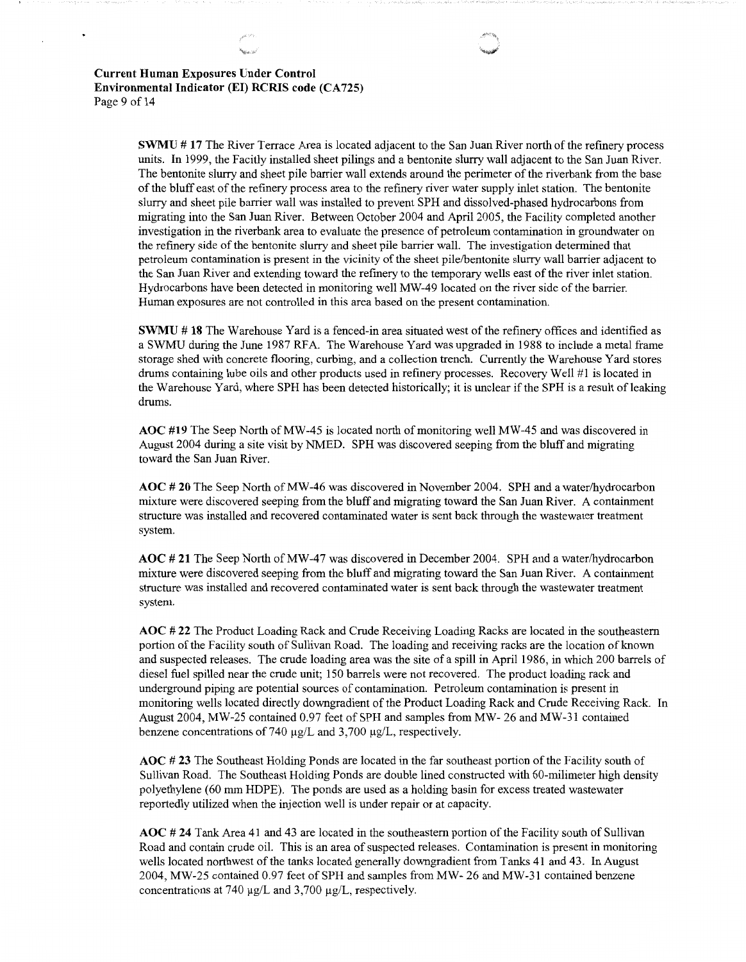**Current Human Exposures Under Control Environmental Indicator (El) RCRIS code (CA 725)**  Page 9 of 14

 $\ddot{\phantom{0}}$ 

**SWMU # 17** The River Terrace Area is located adjacent to the San Juan River north of the refinery process units. In 1999, the Facitly installed sheet pilings and a bentonite slurry wall adjacent to the San Juan River. The bentonite slurry and sheet pile barrier wall extends around the perimeter of the riverbank from the base of the bluff east of the refinery process area to the refinery river water supply inlet station. The bentonite slurry and sheet pile barrier wall was installed to prevent SPH and dissolved-phased hydrocarbons from migrating into the San Juan River. Between October 2004 and April 2005, the Facility completed another investigation in the riverbank area to evaluate the presence of petroleum contamination in groundwater on the refinery side of the bentonite slurry and sheet pile barrier wall. The investigation determined that petroleum contamination is present in the vicinity of the sheet pile/bentonite slurry wall barrier adjacent to the San Juan River and extending toward the refinery to the temporary wells east of the river inlet station. Hydrocarbons have been detected in monitoring well MW-49 located on the river side of the barrier. Human exposures are not controlled in this area based on the present contamination.

**SWMU # 18** The Warehouse Yard is a fenced-in area situated west of the refinery offices and identified as a SWMU during the June 1987 RFA. The Warehouse Yard was upgraded in 1988 to include a metal frame storage shed with concrete flooring, curbing, and a collection trench. Currently the Warehouse Yard stores drums containing lube oils and other products used in refinery processes. Recovery Well **#1** is located in the Warehouse Yard, where SPH has been detected historically; it is unclear if the SPH is a result of leaking drums.

**AOC #19** The Seep North ofMW-45 is located north of monitoring well MW-45 and was discovered in August 2004 during a site visit by NMED. SPH was discovered seeping from the bluff and migrating toward the San Juan River.

**AOC# 20** The Seep North ofMW-46 was discovered in November 2004. SPH and a water/hydrocarbon mixture were discovered seeping from the bluff and migrating toward the San Juan River. A containment structure was installed and recovered contaminated water is sent back through the wastewater treatment system.

**AOC# 21** The Seep North ofMW-47 was discovered in December 2004. SPH and a water/hydrocarbon mixture were discovered seeping from the bluff and migrating toward the San Juan River. A containment structure was installed and recovered contaminated water is sent back through the wastewater treatment system.

**AOC # 22** The Product Loading Rack and Crude Receiving Loading Racks are located in the southeastern portion of the Facility south of Sullivan Road. The loading and receiving racks are the location of known and suspected releases. The crude loading area was the site of a spill in April 1986, in which 200 barrels of diesel fuel spilled near the crude unit; 150 barrels were not recovered. The product loading rack and underground piping are potential sources of contamination. Petroleum contamination is present in monitoring wells located directly downgradient of the Product Loading Rack and Crude Receiving Rack. In August 2004, MW-25 contained 0.97 feet of SPH and samples from MW- 26 and MW-31 contained benzene concentrations of 740  $\mu$ g/L and 3,700  $\mu$ g/L, respectively.

**AOC# 23** The Southeast Holding Ponds are located in the far southeast portion of the Facility south of Sullivan Road. The Southeast Holding Ponds are double lined constructed with 60-milimeter high density polyethylene (60 mm HDPE). The ponds are used as a holding basin for excess treated wastewater reportedly utilized when the injection well is under repair or at capacity.

**AOC # 24** Tank Area 41 and 43 are located in the southeastern portion of the Facility south of Sullivan Road and contain crude oil. This is an area of suspected releases. Contamination is present in monitoring wells located northwest of the tanks located generally downgradient from Tanks 41 and 43. In August 2004, MW-25 contained 0.97 feet of SPH and samples from MW-26 and MW-31 contained benzene concentrations at 740 µg/L and 3,700 µg/L, respectively.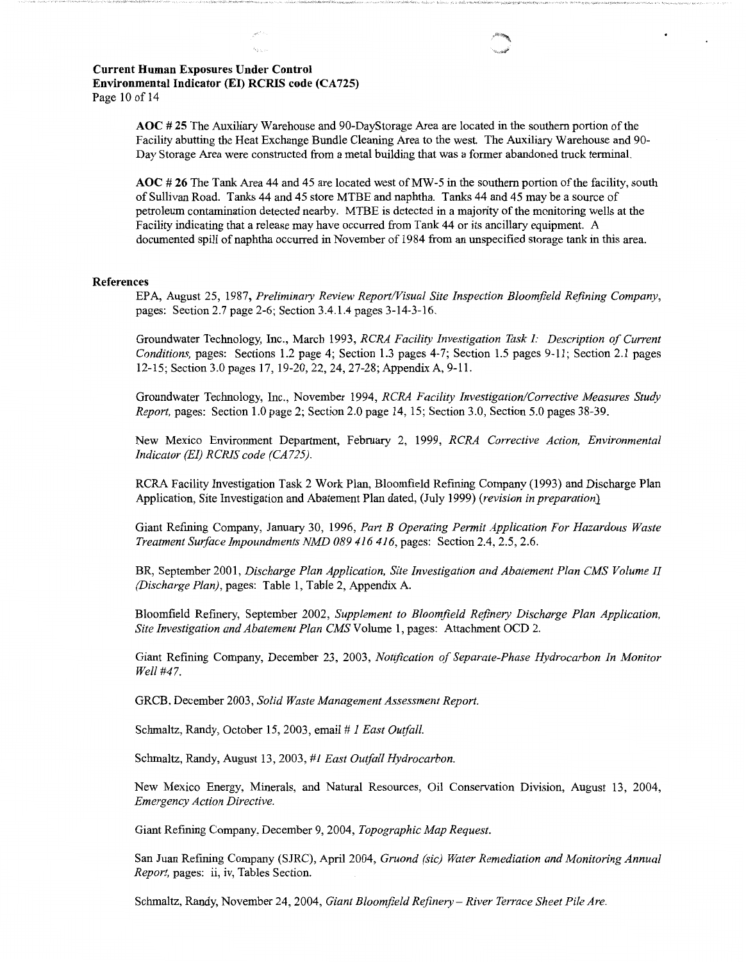**AOC# 25** The Auxiliary Warehouse and 90-DayStorage Area are located in the southern portion of the Facility abutting the Heat Exchange Bundle Cleaning Area to the west. The Auxiliary Warehouse and 90- Day Storage Area were constructed from a metal building that was a former abandoned truck terminal.

**AOC# 26** The Tank Area 44 and 45 are located west ofMW-5 in the southern portion of the facility, south of Sullivan Road. Tanks 44 and 45 store MTBE and naphtha. Tanks 44 and 45 may be a source of petroleum contamination detected nearby. MTBE is detected in a majority of the monitoring wells at the Facility indicating that a release may have occurred from Tank 44 or its ancillary equipment. A documented spill of naphtha occurred in November of 1984 from an unspecified storage tank in this area.

#### **References**

EPA, August 25, 1987, *Preliminary Review Report/Visual Site Inspection Bloomfield Refining Company,*  pages: Section 2.7 page 2-6; Section 3.4.1.4 pages 3-14-3-16.

Groundwater Technology, Inc., March 1993, *RCRA Facility Investigation Task I: Description of Current Conditions,* pages: Sections 1.2 page 4; Section 1.3 pages 4-7; Section 1.5 pages 9-11; Section 2.1 pages 12-15; Section 3.0 pages 17, 19-20, 22, 24, 27-28;AppendixA, 9-11.

Groundwater Technology, Inc., November 1994, *RCRA Facility Investigation/Corrective Measures Study Report,* pages: Section 1.0 page 2; Section 2.0 page 14, 15; Section 3.0, Section 5.0 pages 38-39.

New Mexico Environment Department, February 2, 1999, *RCRA Corrective Action, Environmental Indicator (EI) RCRIS code (CA725).* 

RCRA Facility Investigation Task 2 Work Plan, Bloomfield Refining Company (1993) and Discharge Plan Application, Site Investigation and Abatement Plan dated, (July 1999) *(revision in preparation}* 

Giant Refining Company, January 30, 1996, *Part B Operating Permit Application For Hazardous Waste Treatment Surface Impoundments NMD 089 416 416,* pages: Section 2.4, 2.5, 2.6.

BR, September 2001, *Discharge Plan Application, Site Investigation and Abatement Plan CMS Volume II (Discharge Plan),* pages: Table 1, Table 2, Appendix A.

Bloomfield Refinery, September 2002, *Supplement to Bloomfield Refinery Discharge Plan Application, Site Investigation and Abatement Plan CMS* Volume 1, pages: Attachment OCD 2.

Giant Refining Company, December 23, 2003, *Notification of Separate-Phase Hydrocarbon In Monitor Well #47.* 

GRCB, December 2003, *Solid Waste Management Assessment Report.* 

Schmaltz, Randy, October 15, 2003, email # *1 East Outfall.* 

Schmaltz, Randy, August 13, 2003, *#1 East Outfall Hydrocarbon.* 

New Mexico Energy, Minerals, and Natural Resources, Oil Conservation Division, August 13, 2004, *Emergency Action Directive.* 

Giant Refining Company, December 9, 2004, *Topographic Map Request.* 

San Juan Refining Company (SJRC), April 2004, *Gruond (sic) Water Remediation and Monitoring Annual Report,* pages: ii, iv, Tables Section.

Schmaltz, Randy, November 24, 2004, *Giant Bloomfield Refinery* - *River Terrace Sheet Pile Are.*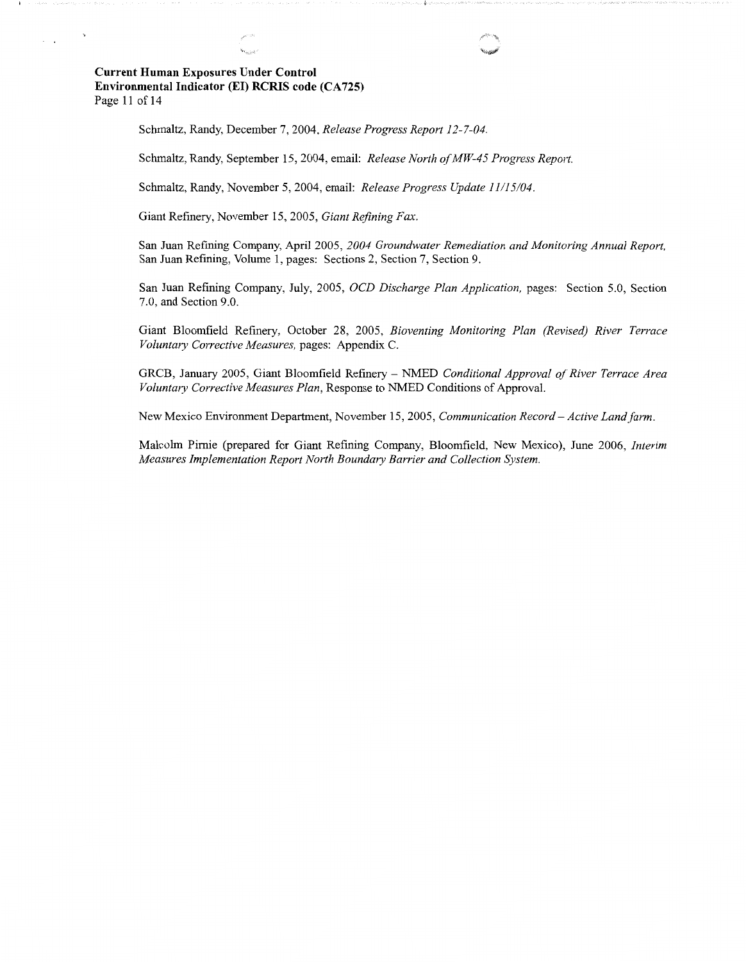# **Current Human Exposures Under Control Environmental Indicator (El) RCRIS code (CA 725)**  Page 11 of 14

 $\Delta$ 

 $\sim$ 

Schmaltz, Randy, December 7, 2004, *Release Progress Report 12-7-04.* 

Schmaltz, Randy, September 15, 2004, email: *Release North of MW-45 Progress Report.* 

Schmaltz, Randy, November 5, 2004, email: *Release Progress Update 11/15/04.* 

Giant Refinery, November 15, 2005, *Giant Refining Fax.* 

San Juan Refining Company, April 2005, *2004 Groundwater Remediation and Monitoring Annual Report,*  San Juan Refining, Volume 1, pages: Sections 2, Section 7, Section 9.

San Juan Refining Company, July, 2005, *OCD Discharge Plan Application,* pages: Section 5.0, Section 7.0, and Section 9.0.

Giant Bloomfield Refinery, October 28, 2005, *Bioventing Monitoring Plan (Revised) River Terrace Voluntary Corrective Measures,* pages: Appendix C.

GRCB, January 2005, Giant Bloomfield Refinery - NMED *Conditional Approval of River Terrace Area Voluntary Corrective Measures Plan,* Response to NMED Conditions of Approval.

New Mexico Environment Department, November 15, 2005, *Communication Record-Active Land farm.* 

Malcolm Pirnie (prepared for Giant Refining Company, Bloomfield, New Mexico), June 2006, *Interim Measures Implementation Report North Boundary Barrier and Collection System.*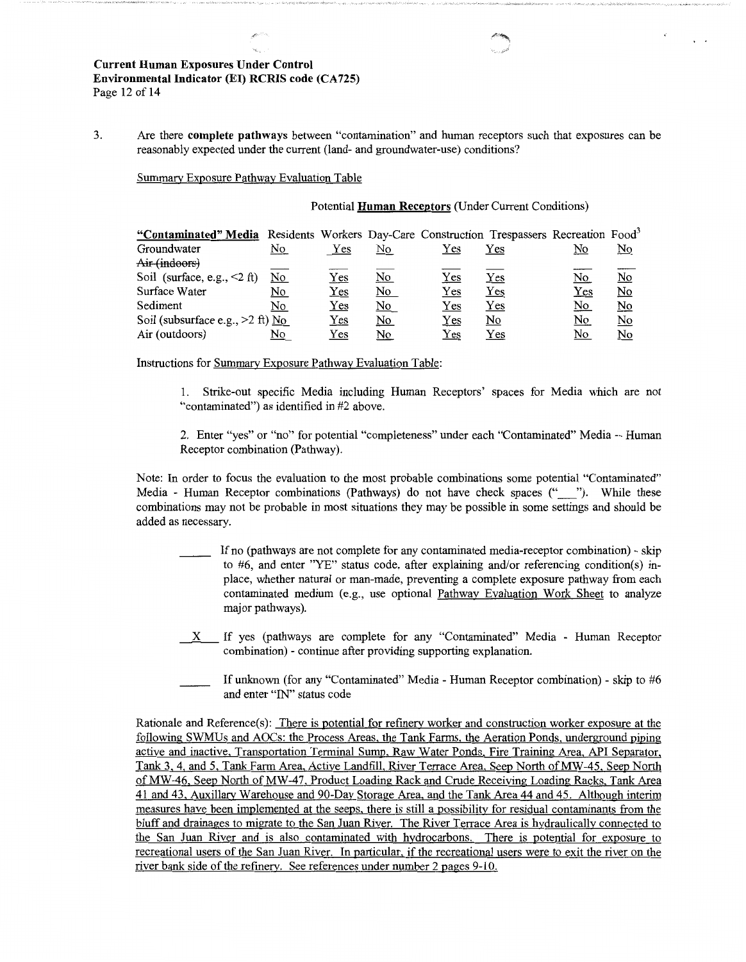3. Are there **complete pathways** between "contamination" and human receptors such that exposures can be reasonably expected under the current (land- and groundwater-use) conditions?

Summary Exposure Pathway Evaluation Table

### Potential **Human Receptors** (Under Current Conditions)

 $\sim$ 

| "Contaminated" Media Residents Workers Day-Care Construction Trespassers Recreation Food <sup>3</sup> |           |              |           |              |                           |                           |                         |
|-------------------------------------------------------------------------------------------------------|-----------|--------------|-----------|--------------|---------------------------|---------------------------|-------------------------|
| Groundwater                                                                                           | <u>No</u> | Yes          | No.       | Yes          | Yes                       | <u>No</u>                 | No                      |
| Air (indoors)                                                                                         |           |              |           |              |                           |                           |                         |
| Soil (surface, e.g., $\leq$ 2 ft)                                                                     | <u>No</u> | $_{\rm Yes}$ | <u>No</u> | ${\rm Yes}$  | $_{\rm Yes}$              | <u>No</u>                 | <u>No</u>               |
| Surface Water                                                                                         | No        | $Yes$        | <u>No</u> | $_{\rm Yes}$ | $Yes$                     | ${\rm Yes}$               | $\underline{\text{No}}$ |
| Sediment                                                                                              | No        | Yes          | <u>No</u> | Yes          | $_{\rm Yes}$              | $\underline{\mathrm{No}}$ | <u>No</u>               |
| Soil (subsurface e.g., $>2$ ft) No                                                                    |           | $Yes$        | <u>No</u> | $_{\rm Yes}$ | $\underline{\mathrm{No}}$ | <u>No</u>                 | <u>No</u>               |
| Air (outdoors)                                                                                        | <u>No</u> | Yes          | <u>No</u> | Yes          | $_{\rm Yes}$              | No                        | No                      |

Instructions for Summary Exposure Pathway Evaluation Table:

- 1. Strike-out specific Media including Human Receptors' spaces for Media which are not "contaminated") as identified in #2 above.
- 2. Enter "yes" or "no" for potential "completeness" under each "Contaminated" Media -- Human Receptor combination (Pathway).

Note: In order to focus the evaluation to the most probable combinations some potential "Contaminated" Media - Human Receptor combinations (Pathways) do not have check spaces ("\_\_\_"). While these combinations may not be probable in most situations they may be possible in some settings and should be added as necessary.

- If no (pathways are not complete for any contaminated media-receptor combination) skip to #6, and enter "YE" status code, after explaining and/or referencing condition(s) inplace, whether natural or man-made, preventing a complete exposure pathway from each contaminated medium (e.g., use optional Pathway Evaluation Work Sheet to analyze major pathways).
- $X$  If yes (pathways are complete for any "Contaminated" Media Human Receptor combination) - continue after providing supporting explanation.
- If unknown (for any "Contaminated" Media Human Receptor combination) skip to #6 and enter "IN" status code

Rationale and Reference(s): There is potential for refinery worker and construction worker exposure at the following SWMUs and AOCs: the Process Areas, the Tank Farms, the Aeration Ponds, underground piping active and inactive, Transportation Terminal Sump, Raw Water Ponds, Fire Training Area, API Separator, Tank 3, 4, and 5, Tank Farm Area, Active Landfill, River Terrace Area, Seep North ofMW-45, Seep North of MW-46, Seep North of MW-47, Product Loading Rack and Crude Receiving Loading Racks, Tank Area 41 and 43, Auxillary Warehouse and 90-Day Storage Area, and the Tank Area 44 and 45. Although interim measures have been implemented at the seeps, there is still a possibility for residual contaminants from the bluff and drainages to migrate to the San Juan River. The River Terrace Area is hydraulically connected to the San Juan River and is also contaminated with hydrocarbons. There is potential for exposure to recreational users of the San Juan River. In particular, if the recreational users were to exit the river on the river bank side of the refinery. See references under number 2 pages 9-10.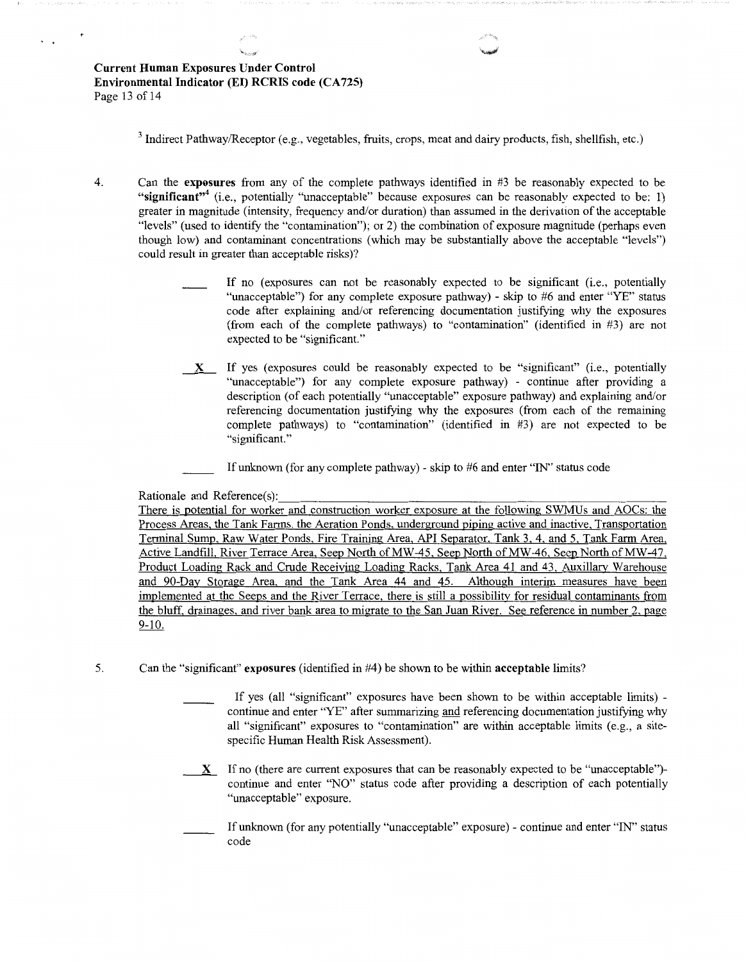<sup>3</sup> Indirect Pathway/Receptor (e.g., vegetables, fruits, crops, meat and dairy products, fish, shellfish, etc.)

.. ...\_,

- 4. Can the **exposures** from any of the complete pathways identified in #3 be reasonably expected to be **"significant"<sup>4</sup>**(i.e., potentially "unacceptable" because exposures can be reasonably expected to be: 1) greater in magnitude (intensity, frequency and/or duration) than assumed in the derivation of the acceptable "levels" (used to identify the "contamination"); or 2) the combination of exposure magnitude (perhaps even though low) and contaminant concentrations (which may be substantially above the acceptable "levels") could result in greater than acceptable risks)?
	- If no (exposures can not be reasonably expected to be significant (i.e., potentially "unacceptable") for any complete exposure pathway) - skip to #6 and enter "YE" status code after explaining and/or referencing documentation justifying why the exposures (from each of the complete pathways) to "contamination" (identified in #3) are not expected to be "significant."
	- \_x\_ If yes (exposures could be reasonably expected to be "significant" (i.e., potentially "unacceptable") for any complete exposure pathway) - continue after providing a description (of each potentially "unacceptable" exposure pathway) and explaining and/or referencing documentation justifying why the exposures (from each of the remaining complete pathways) to "contamination" (identified in #3) are not expected to be "significant."

If unknown (for any complete pathway) - skip to #6 and enter "IN" status code

Rationale and Reference(s):

There is potential for worker and construction worker exposure at the following SWMUs and AOCs: the Process Areas, the Tank Farms, the Aeration Ponds, underground piping active and inactive, Transportation Terminal Sump, Raw Water Ponds, Fire Training Area, API Separator, Tank 3, 4, and 5, Tank Farm Area, Active Landfill, River Terrace Area, Seep North of MW-45, Seep North of MW-46, Seep North of MW-47, Product Loading Rack and Crude Receiving Loading Racks, Tank Area 41 and 43, Auxiliary Warehouse and 90-Day Storage Area, and the Tank Area 44 and 45. Although interim measures have been implemented at the Seeps and the River Terrace, there is still a possibility for residual contaminants from the bluff, drainages, and river bank area to migrate to the San Juan River. See reference in number 2, page 9-10.

- 5. Can the "significant" **exposures** (identified in #4) be shown to be within **acceptable** limits?
	- If yes (all "significant" exposures have been shown to be within acceptable limits) continue and enter "YE" after summarizing and referencing documentation justifying why all "significant" exposures to "contamination" are within acceptable limits (e.g., a sitespecific Human Health Risk Assessment).
	- **\_\_ X\_** If no (there are current exposures that can be reasonably expected to be "unacceptable") continue and enter "NO" status code after providing a description of each potentially "unacceptable" exposure.
	- If unknown (for any potentially "unacceptable" exposure) continue and enter "IN" status code